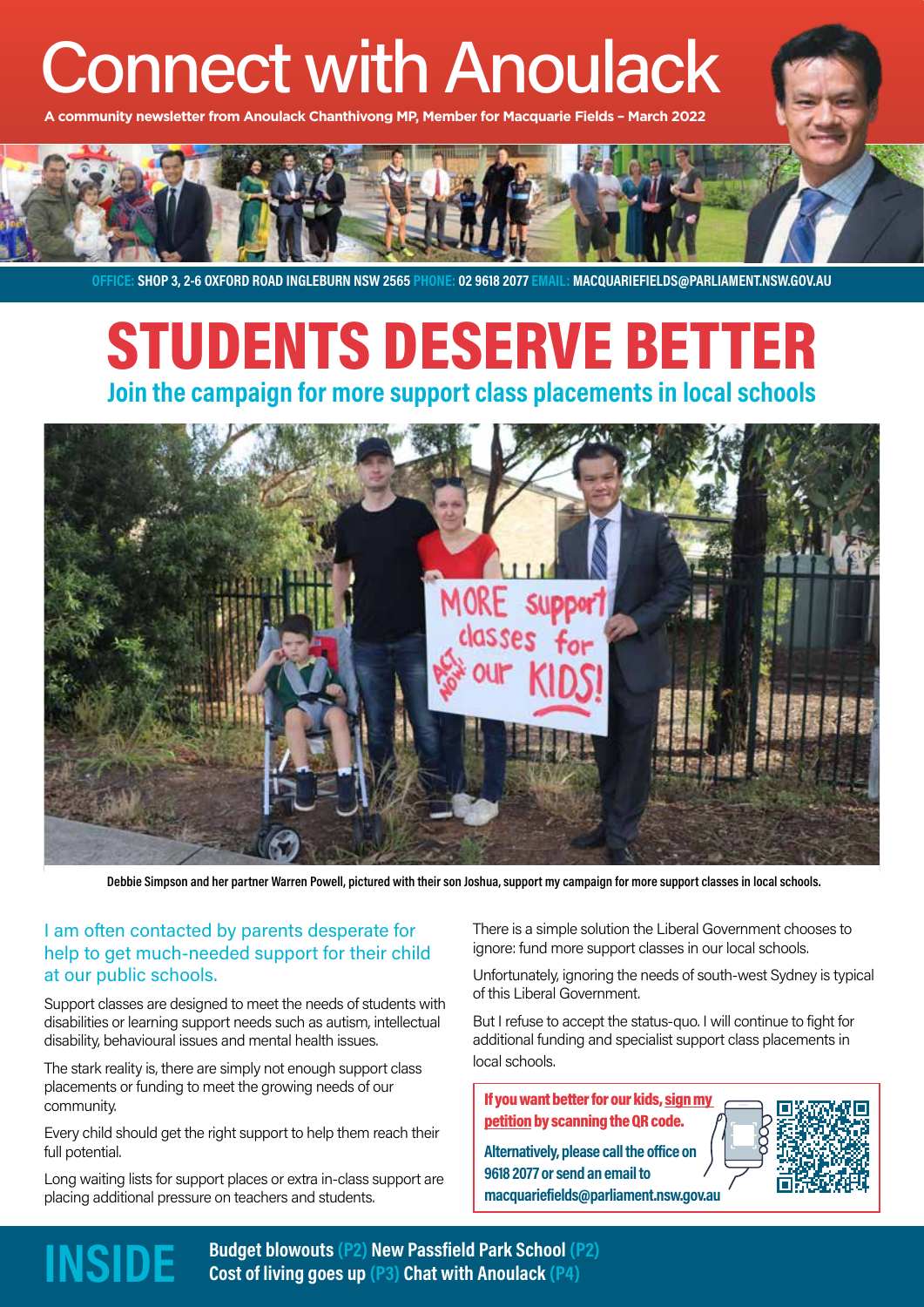# Connect with Anoulack

**A community newsletter from Anoulack Chanthivong MP, Member for Macquarie Fields – March 2022**



**OFFICE: SHOP 3, 2-6 OXFORD ROAD INGLEBURN NSW 2565 PHONE: 02 9618 2077 EMAIL: MACQUARIEFIELDS@PARLIAMENT.NSW.GOV.AU**

# STUDENTS DESERVE BETTER **Join the campaign for more support class placements in local schools**



**Debbie Simpson and her partner Warren Powell, pictured with their son Joshua, support my campaign for more support classes in local schools.**

### I am often contacted by parents desperate for help to get much-needed support for their child at our public schools.

Support classes are designed to meet the needs of students with disabilities or learning support needs such as autism, intellectual disability, behavioural issues and mental health issues.

The stark reality is, there are simply not enough support class placements or funding to meet the growing needs of our community.

Every child should get the right support to help them reach their full potential.

Long waiting lists for support places or extra in-class support are placing additional pressure on teachers and students.

There is a simple solution the Liberal Government chooses to ignore: fund more support classes in our local schools.

Unfortunately, ignoring the needs of south-west Sydney is typical of this Liberal Government.

But I refuse to accept the status-quo. I will continue to fight for additional funding and specialist support class placements in local schools.

#### If you want better for our kids, sign my petition by scanning the QR code.

**Alternatively, please call the office on 9618 2077 or send an email to macquariefields@parliament.nsw.gov.au**



**INSIDE** Budget blowouts (P2) New Passfield Park School (P2)<br> **INSIDE** Cost of living goes up (P3) Chat with Anoulack (P4)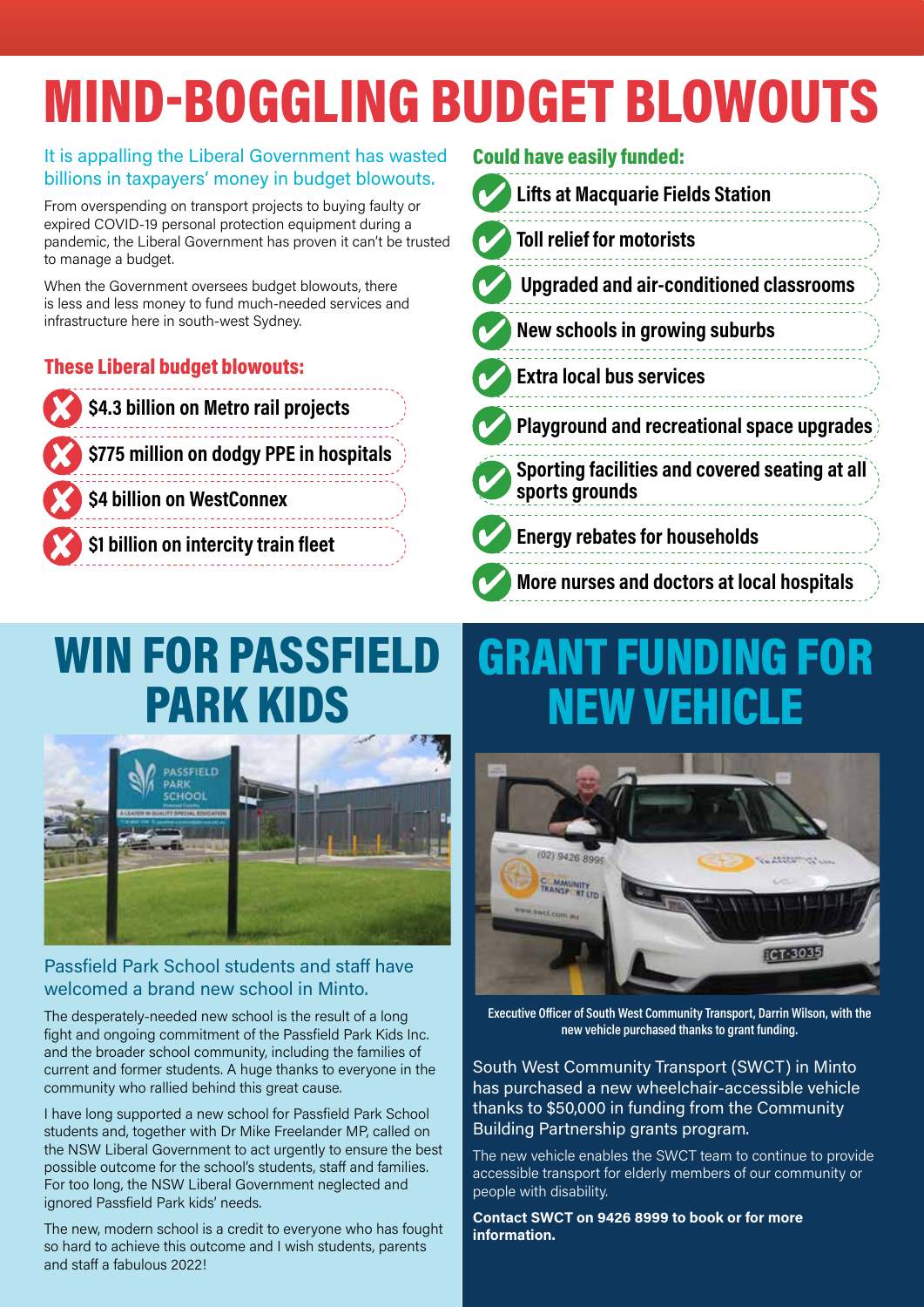# MIND-BOGGLING BUDGET BLOWOUTS

## It is appalling the Liberal Government has wasted billions in taxpayers' money in budget blowouts.

From overspending on transport projects to buying faulty or expired COVID-19 personal protection equipment during a pandemic, the Liberal Government has proven it can't be trusted to manage a budget.

When the Government oversees budget blowouts, there is less and less money to fund much-needed services and infrastructure here in south-west Sydney.

## These Liberal budget blowouts:



## Could have easily funded:

| <b>Lifts at Macquarie Fields Station</b>                         |  |
|------------------------------------------------------------------|--|
| <b>Toll relief for motorists</b>                                 |  |
| <b>Upgraded and air-conditioned classrooms</b>                   |  |
| New schools in growing suburbs                                   |  |
| <b>Extra local bus services</b>                                  |  |
| <b>Playground and recreational space upgrades</b>                |  |
| Sporting facilities and covered seating at all<br>sports grounds |  |
| <b>Energy rebates for households</b>                             |  |
| More nurses and doctors at local hospitals                       |  |

# WIN FOR PASSFIELD PARK KIDS



## Passfield Park School students and staff have welcomed a brand new school in Minto.

The desperately-needed new school is the result of a long fight and ongoing commitment of the Passfield Park Kids Inc. and the broader school community, including the families of current and former students. A huge thanks to everyone in the community who rallied behind this great cause.

I have long supported a new school for Passfield Park School students and, together with Dr Mike Freelander MP, called on the NSW Liberal Government to act urgently to ensure the best possible outcome for the school's students, staff and families. For too long, the NSW Liberal Government neglected and ignored Passfield Park kids' needs.

The new, modern school is a credit to everyone who has fought so hard to achieve this outcome and I wish students, parents and staff a fabulous 2022!

# GRANT FUNDING FOR **NEW VEHICL**



**Executive Officer of South West Community Transport, Darrin Wilson, with the new vehicle purchased thanks to grant funding.**

South West Community Transport (SWCT) in Minto has purchased a new wheelchair-accessible vehicle thanks to \$50,000 in funding from the Community Building Partnership grants program.

The new vehicle enables the SWCT team to continue to provide accessible transport for elderly members of our community or people with disability.

**Contact SWCT on 9426 8999 to book or for more information.**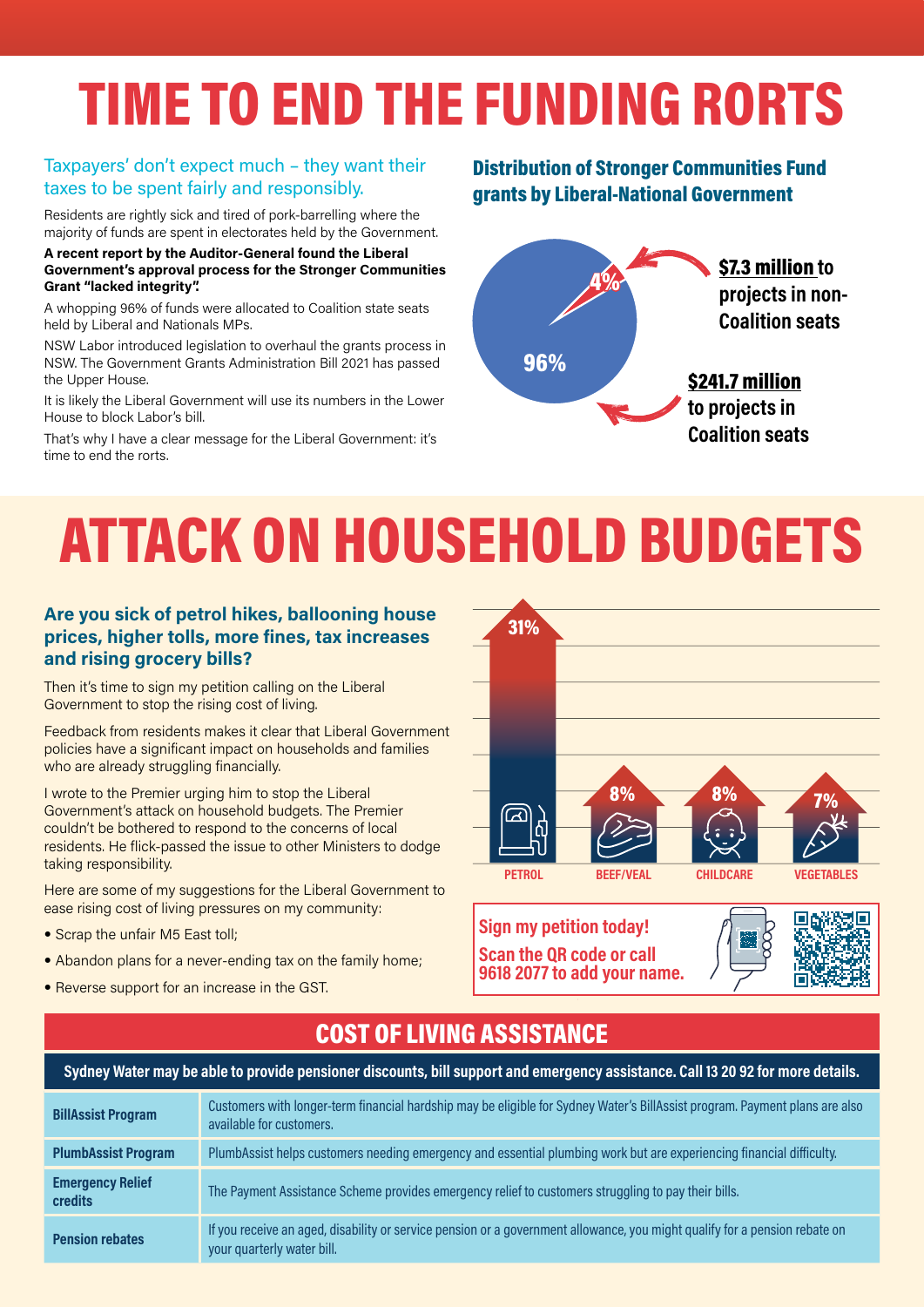# TIME TO END THE FUNDING RORTS

#### Taxpayers' don't expect much – they want their taxes to be spent fairly and responsibly.

Residents are rightly sick and tired of pork-barrelling where the majority of funds are spent in electorates held by the Government.

#### **A recent report by the Auditor-General found the Liberal Government's approval process for the Stronger Communities Grant "lacked integrity".**

A whopping 96% of funds were allocated to Coalition state seats held by Liberal and Nationals MPs.

NSW Labor introduced legislation to overhaul the grants process in NSW. The Government Grants Administration Bill 2021 has passed the Upper House.

It is likely the Liberal Government will use its numbers in the Lower House to block Labor's bill.

That's why I have a clear message for the Liberal Government: it's time to end the rorts.

## Distribution of Stronger Communities Fund grants by Liberal-National Government



# ATTACK ON HOUSEHOLD BUDGETS

### **Are you sick of petrol hikes, ballooning house prices, higher tolls, more fines, tax increases and rising grocery bills?**

Then it's time to sign my petition calling on the Liberal Government to stop the rising cost of living.

Feedback from residents makes it clear that Liberal Government policies have a significant impact on households and families who are already struggling financially.

I wrote to the Premier urging him to stop the Liberal Government's attack on household budgets. The Premier couldn't be bothered to respond to the concerns of local residents. He flick-passed the issue to other Ministers to dodge taking responsibility.

Here are some of my suggestions for the Liberal Government to ease rising cost of living pressures on my community:

- Scrap the unfair M5 East toll;
- Abandon plans for a never-ending tax on the family home;
- Reverse support for an increase in the GST.







# COST OF LIVING ASSISTANCE **Sydney Water may be able to provide pensioner discounts, bill support and emergency assistance. Call 13 20 92 for more details.**

| <b>BillAssist Program</b>                 | Customers with longer-term financial hardship may be eligible for Sydney Water's BillAssist program. Payment plans are also<br>available for customers.  |
|-------------------------------------------|----------------------------------------------------------------------------------------------------------------------------------------------------------|
| <b>PlumbAssist Program</b>                | PlumbAssist helps customers needing emergency and essential plumbing work but are experiencing financial difficulty.                                     |
| <b>Emergency Relief</b><br><b>credits</b> | The Payment Assistance Scheme provides emergency relief to customers struggling to pay their bills.                                                      |
| <b>Pension rebates</b>                    | If you receive an aged, disability or service pension or a government allowance, you might qualify for a pension rebate on<br>your quarterly water bill. |